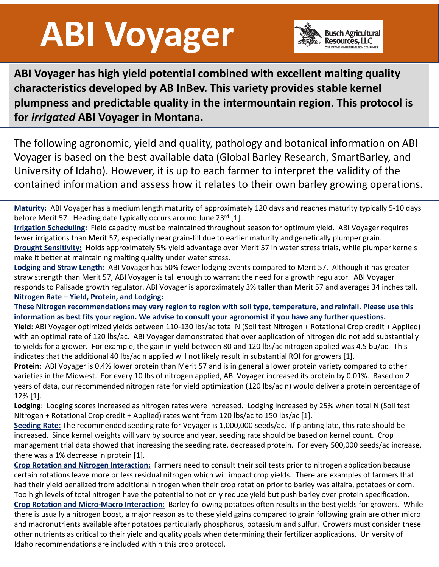## **ABI Voyager**



**ABI Voyager has high yield potential combined with excellent malting quality characteristics developed by AB InBev. This variety provides stable kernel plumpness and predictable quality in the intermountain region. This protocol is for** *irrigated* **ABI Voyager in Montana.**

The following agronomic, yield and quality, pathology and botanical information on ABI Voyager is based on the best available data (Global Barley Research, SmartBarley, and University of Idaho). However, it is up to each farmer to interpret the validity of the contained information and assess how it relates to their own barley growing operations.

**Maturity:** ABI Voyager has a medium length maturity of approximately 120 days and reaches maturity typically 5-10 days before Merit 57. Heading date typically occurs around June 23rd [1].

**Irrigation Scheduling:** Field capacity must be maintained throughout season for optimum yield. ABI Voyager requires fewer irrigations than Merit 57, especially near grain-fill due to earlier maturity and genetically plumper grain. **Drought Sensitivity:** Holds approximately 5% yield advantage over Merit 57 in water stress trials, while plumper kernels make it better at maintaining malting quality under water stress.

**Lodging and Straw Length:** ABI Voyager has 50% fewer lodging events compared to Merit 57. Although it has greater straw strength than Merit 57, ABI Voyager is tall enough to warrant the need for a growth regulator. ABI Voyager responds to Palisade growth regulator. ABI Voyager is approximately 3% taller than Merit 57 and averages 34 inches tall. **Nitrogen Rate – Yield, Protein, and Lodging:** 

**These Nitrogen recommendations may vary region to region with soil type, temperature, and rainfall. Please use this information as best fits your region. We advise to consult your agronomist if you have any further questions.** 

**Yield**: ABI Voyager optimized yields between 110-130 lbs/ac total N (Soil test Nitrogen + Rotational Crop credit + Applied) with an optimal rate of 120 lbs/ac. ABI Voyager demonstrated that over application of nitrogen did not add substantially to yields for a grower. For example, the gain in yield between 80 and 120 lbs/ac nitrogen applied was 4.5 bu/ac. This indicates that the additional 40 lbs/ac n applied will not likely result in substantial ROI for growers [1].

**Protein**: ABI Voyager is 0.4% lower protein than Merit 57 and is in general a lower protein variety compared to other varieties in the Midwest. For every 10 lbs of nitrogen applied, ABI Voyager increased its protein by 0.01%. Based on 2 years of data, our recommended nitrogen rate for yield optimization (120 lbs/ac n) would deliver a protein percentage of 12% [1].

**Lodging**: Lodging scores increased as nitrogen rates were increased. Lodging increased by 25% when total N (Soil test Nitrogen + Rotational Crop credit + Applied) rates went from 120 lbs/ac to 150 lbs/ac [1].

**Seeding Rate:** The recommended seeding rate for Voyager is 1,000,000 seeds/ac. If planting late, this rate should be increased. Since kernel weights will vary by source and year, seeding rate should be based on kernel count. Crop management trial data showed that increasing the seeding rate, decreased protein. For every 500,000 seeds/ac increase, there was a 1% decrease in protein [1].

**Crop Rotation and Nitrogen Interaction:** Farmers need to consult their soil tests prior to nitrogen application because certain rotations leave more or less residual nitrogen which will impact crop yields. There are examples of farmers that had their yield penalized from additional nitrogen when their crop rotation prior to barley was alfalfa, potatoes or corn. Too high levels of total nitrogen have the potential to not only reduce yield but push barley over protein specification. **Crop Rotation and Micro-Macro Interaction:** Barley following potatoes often results in the best yields for growers. While there is usually a nitrogen boost, a major reason as to these yield gains compared to grain following grain are other micro and macronutrients available after potatoes particularly phosphorus, potassium and sulfur. Growers must consider these other nutrients as critical to their yield and quality goals when determining their fertilizer applications. University of Idaho recommendations are included within this crop protocol.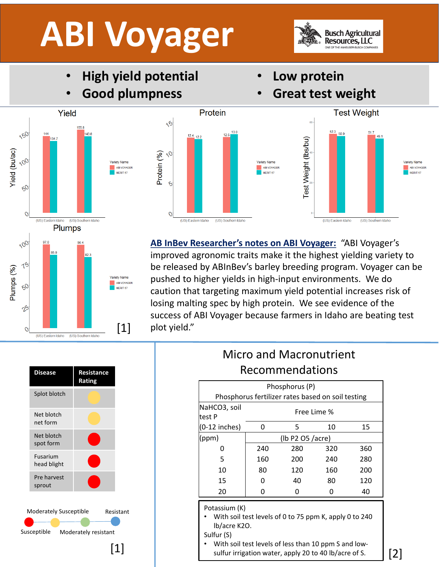## **ABI Voyager**



- **High yield potential**
- **Good plumpness**
- **Low protein**
- **Great test weight**





**Test Weight** 52.3 **Test Weight (Ibs/bu)** Variety Name ABI VOYAGER MERIT 57 (US) Eastern Idaho (US) Southern Idaho

**AB InBev Researcher's notes on ABI Voyager:** "ABI Voyager's improved agronomic traits make it the highest yielding variety to be released by ABInBev's barley breeding program. Voyager can be pushed to higher yields in high-input environments. We do caution that targeting maximum yield potential increases risk of losing malting spec by high protein. We see evidence of the success of ABI Voyager because farmers in Idaho are beating test plot yield."



## Micro and Macronutrient Recommendations

| Phosphorus (P)                                                                                     |                  |                                                        |     |     |
|----------------------------------------------------------------------------------------------------|------------------|--------------------------------------------------------|-----|-----|
| Phosphorus fertilizer rates based on soil testing                                                  |                  |                                                        |     |     |
| NaHCO3, soil<br>test P                                                                             | Free Lime %      |                                                        |     |     |
| $(0-12$ inches)                                                                                    | 0                | 5                                                      | 10  | 15  |
| (ppm)                                                                                              | (lb P2 O5 /acre) |                                                        |     |     |
| 0                                                                                                  | 240              | 280                                                    | 320 | 360 |
| 5                                                                                                  | 160              | 200                                                    | 240 | 280 |
| 10                                                                                                 | 80               | 120                                                    | 160 | 200 |
| 15                                                                                                 | 0                | 40                                                     | 80  | 120 |
| 20                                                                                                 | 0                | 0                                                      | 0   | 40  |
| Potassium (K)<br>lb/acre K2O.<br>Sulfur (S)<br>With soil tost loyals of loss than 10 npm 5 and low |                  | With soil test levels of 0 to 75 ppm K, apply 0 to 240 |     |     |

• With soil test levels of less than 10 ppm S and low-[1] Mith soil test levels of less than 10 ppm S and low-<br>sulfur irrigation water, apply 20 to 40 lb/acre of S. [2]